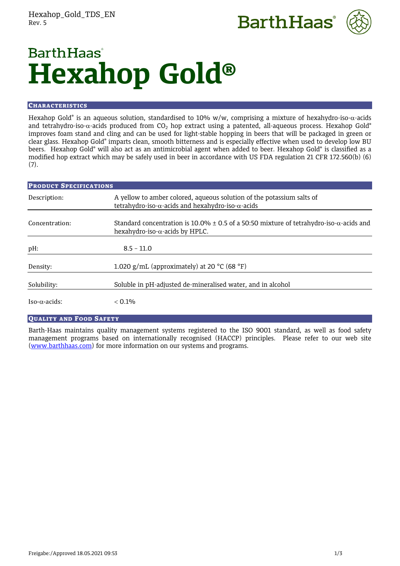



# **BarthHaas**<sup>®</sup> **Hexahop Gold®**

# **CHARACTERISTICS**

Hexahop Gold® is an aqueous solution, standardised to 10% w/w, comprising a mixture of hexahydro-iso- $\alpha$ -acids and tetrahydro-iso- $\alpha$ -acids produced from CO<sub>2</sub> hop extract using a patented, all-aqueous process. Hexahop Gold® improves foam stand and cling and can be used for light-stable hopping in beers that will be packaged in green or clear glass. Hexahop Gold® imparts clean, smooth bitterness and is especially effective when used to develop low BU beers. Hexahop Gold® will also act as an antimicrobial agent when added to beer. Hexahop Gold® is classified as a modified hop extract which may be safely used in beer in accordance with US FDA regulation 21 CFR 172.560(b) (6) (7).

| <b>PRODUCT SPECIFICATIONS</b> |                                                                                                                                                |
|-------------------------------|------------------------------------------------------------------------------------------------------------------------------------------------|
| Description:                  | A yellow to amber colored, aqueous solution of the potassium salts of<br>tetrahydro-iso- $\alpha$ -acids and hexahydro-iso- $\alpha$ -acids    |
| Concentration:                | Standard concentration is 10.0% $\pm$ 0.5 of a 50:50 mixture of tetrahydro-iso- $\alpha$ -acids and<br>hexahydro-iso- $\alpha$ -acids by HPLC. |
| pH:                           | $8.5 - 11.0$                                                                                                                                   |
| Density:                      | 1.020 g/mL (approximately) at 20 $^{\circ}$ C (68 $^{\circ}$ F)                                                                                |
| Solubility:                   | Soluble in pH-adjusted de-mineralised water, and in alcohol                                                                                    |
| $Iso-α-acids$ :               | $< 0.1\%$                                                                                                                                      |

# QUALITY AND FOOD SAFETY

Barth-Haas maintains quality management systems registered to the ISO 9001 standard, as well as food safety management programs based on internationally recognised (HACCP) principles. Please refer to our web site [\(www.barthhaas.com\)](http://www.barthhaas.com/) for more information on our systems and programs.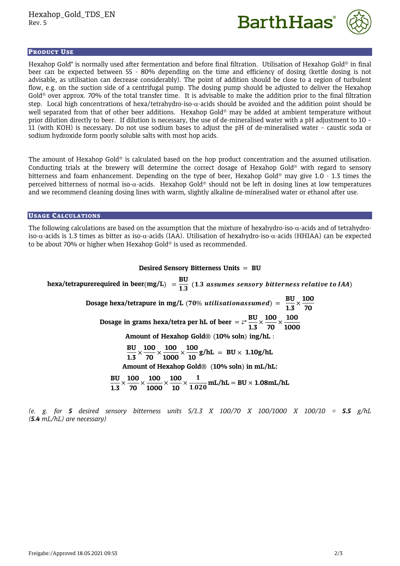



## PRODUCT USE

Hexahop Gold® is normally used after fermentation and before final filtration. Utilisation of Hexahop Gold® in final beer can be expected between 55 - 80% depending on the time and efficiency of dosing (kettle dosing is not advisable, as utilisation can decrease considerably). The point of addition should be close to a region of turbulent flow, e.g. on the suction side of a centrifugal pump. The dosing pump should be adjusted to deliver the Hexahop Gold<sup>®</sup> over approx. 70% of the total transfer time. It is advisable to make the addition prior to the final filtration step. Local high concentrations of hexa/tetrahydro-iso- $\alpha$ -acids should be avoided and the addition point should be well separated from that of other beer additions. Hexahop Gold<sup>®</sup> may be added at ambient temperature without prior dilution directly to beer. If dilution is necessary, the use of de-mineralised water with a pH adjustment to 10 – 11 (with KOH) is necessary. Do not use sodium bases to adjust the pH of de-mineralised water – caustic soda or sodium hydroxide form poorly soluble salts with most hop acids.

The amount of Hexahop Gold<sup>®</sup> is calculated based on the hop product concentration and the assumed utilisation. Conducting trials at the brewery will determine the correct dosage of Hexahop Gold<sup>®</sup> with regard to sensory bitterness and foam enhancement. Depending on the type of beer, Hexahop Gold<sup>®</sup> may give 1.0 - 1.3 times the perceived bitterness of normal iso- $\alpha$ -acids. Hexahop Gold<sup>®</sup> should not be left in dosing lines at low temperatures and we recommend cleaning dosing lines with warm, slightly alkaline de-mineralised water or ethanol after use.

# USAGE CALCULATIONS

The following calculations are based on the assumption that the mixture of hexahydro-iso- $\alpha$ -acids and of tetrahydroiso- $\alpha$ -acids is 1.3 times as bitter as iso- $\alpha$ -acids (IAA). Utilisation of hexahydro-iso- $\alpha$ -acids (HHIAA) can be expected to be about 70% or higher when Hexahop Gold® is used as recommended.

# **Desired Sensory Bitterness Units** = **BU**

hexa/tetrapurerequired in beer $(\text{mg/L})$   $=$   $\frac{\text{BU}}{1.3}$   $(1.3 \text{ assumes sensory bitterness relative to IAA})$ **Dosage hexa/tetrapure in mg/L** (70% *utilisationassumed*) =  $\frac{BU}{1 - G}$  $\frac{BU}{1.3} \times \frac{100}{70}$ **70 Dosage** in grams hexa/tetra per hL of beer  $= \frac{1}{r}$ **1.3**  $\times$   $\frac{100}{70}$  $\frac{100}{70}$   $\times$   $\frac{100}{1000}$ **1000 Amount of Hexahop Gold**® (**10% soln**) **ing/hL** : **BU**  $\frac{BU}{1.3} \times \frac{100}{70}$  $\frac{100}{70}$   $\times$   $\frac{100}{1000}$  $\frac{100}{1000}\times\frac{100}{10}$  $\frac{100}{10}$  g/hL = BU × 1.10g/hL **Amount of Hexahop Gold**® (**10% soln**) **in mL/hL: BU**  $\frac{BU}{1.3}$   $\times \frac{100}{70}$  $\frac{100}{70}$   $\times$   $\frac{100}{1000}$  $\frac{100}{1000}\times\frac{100}{10}$  $\frac{100}{10}$   $\times$   $\frac{1}{1.020}$  mL/hL = BU  $\times$  1.08mL/hL

*(e. g. for 5 desired sensory bitterness units 5/1.3 X 100/70 X 100/1000 X 100/10 = 5.5 g/hL (5.4 mL/hL) are necessary)*